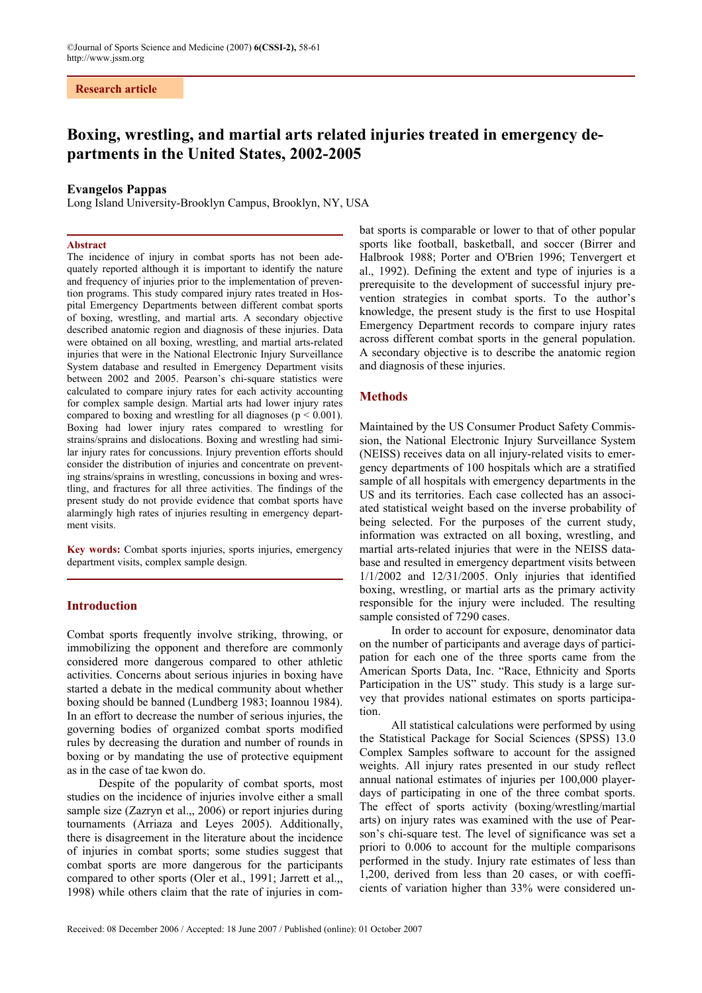### **Research article**

# **Boxing, wrestling, and martial arts related injuries treated in emergency departments in the United States, 2002-2005**

## **Evangelos Pappas**

Long Island University-Brooklyn Campus, Brooklyn, NY, USA

#### **Abstract**

The incidence of injury in combat sports has not been adequately reported although it is important to identify the nature and frequency of injuries prior to the implementation of prevention programs. This study compared injury rates treated in Hospital Emergency Departments between different combat sports of boxing, wrestling, and martial arts. A secondary objective described anatomic region and diagnosis of these injuries. Data were obtained on all boxing, wrestling, and martial arts-related injuries that were in the National Electronic Injury Surveillance System database and resulted in Emergency Department visits between 2002 and 2005. Pearson's chi-square statistics were calculated to compare injury rates for each activity accounting for complex sample design. Martial arts had lower injury rates compared to boxing and wrestling for all diagnoses ( $p \le 0.001$ ). Boxing had lower injury rates compared to wrestling for strains/sprains and dislocations. Boxing and wrestling had similar injury rates for concussions. Injury prevention efforts should consider the distribution of injuries and concentrate on preventing strains/sprains in wrestling, concussions in boxing and wrestling, and fractures for all three activities. The findings of the present study do not provide evidence that combat sports have alarmingly high rates of injuries resulting in emergency department visits.

**Key words:** Combat sports injuries, sports injuries, emergency department visits, complex sample design.

#### **Introduction**

Combat sports frequently involve striking, throwing, or immobilizing the opponent and therefore are commonly considered more dangerous compared to other athletic activities. Concerns about serious injuries in boxing have started a debate in the medical community about whether boxing should be banned (Lundberg 1983; Ioannou 1984). In an effort to decrease the number of serious injuries, the governing bodies of organized combat sports modified rules by decreasing the duration and number of rounds in boxing or by mandating the use of protective equipment as in the case of tae kwon do.

Despite of the popularity of combat sports, most studies on the incidence of injuries involve either a small sample size (Zazryn et al.,, 2006) or report injuries during tournaments (Arriaza and Leyes 2005). Additionally, there is disagreement in the literature about the incidence of injuries in combat sports; some studies suggest that combat sports are more dangerous for the participants compared to other sports (Oler et al., 1991; Jarrett et al.,, 1998) while others claim that the rate of injuries in com-

bat sports is comparable or lower to that of other popular sports like football, basketball, and soccer (Birrer and Halbrook 1988; Porter and O'Brien 1996; Tenvergert et al., 1992). Defining the extent and type of injuries is a prerequisite to the development of successful injury prevention strategies in combat sports. To the author's knowledge, the present study is the first to use Hospital Emergency Department records to compare injury rates across different combat sports in the general population. A secondary objective is to describe the anatomic region and diagnosis of these injuries.

### **Methods**

Maintained by the US Consumer Product Safety Commission, the National Electronic Injury Surveillance System (NEISS) receives data on all injury-related visits to emergency departments of 100 hospitals which are a stratified sample of all hospitals with emergency departments in the US and its territories. Each case collected has an associated statistical weight based on the inverse probability of being selected. For the purposes of the current study, information was extracted on all boxing, wrestling, and martial arts-related injuries that were in the NEISS database and resulted in emergency department visits between 1/1/2002 and 12/31/2005. Only injuries that identified boxing, wrestling, or martial arts as the primary activity responsible for the injury were included. The resulting sample consisted of 7290 cases.

In order to account for exposure, denominator data on the number of participants and average days of participation for each one of the three sports came from the American Sports Data, Inc. "Race, Ethnicity and Sports Participation in the US" study. This study is a large survey that provides national estimates on sports participation.

All statistical calculations were performed by using the Statistical Package for Social Sciences (SPSS) 13.0 Complex Samples software to account for the assigned weights. All injury rates presented in our study reflect annual national estimates of injuries per 100,000 playerdays of participating in one of the three combat sports. The effect of sports activity (boxing/wrestling/martial arts) on injury rates was examined with the use of Pearson's chi-square test. The level of significance was set a priori to 0.006 to account for the multiple comparisons performed in the study. Injury rate estimates of less than 1,200, derived from less than 20 cases, or with coefficients of variation higher than 33% were considered un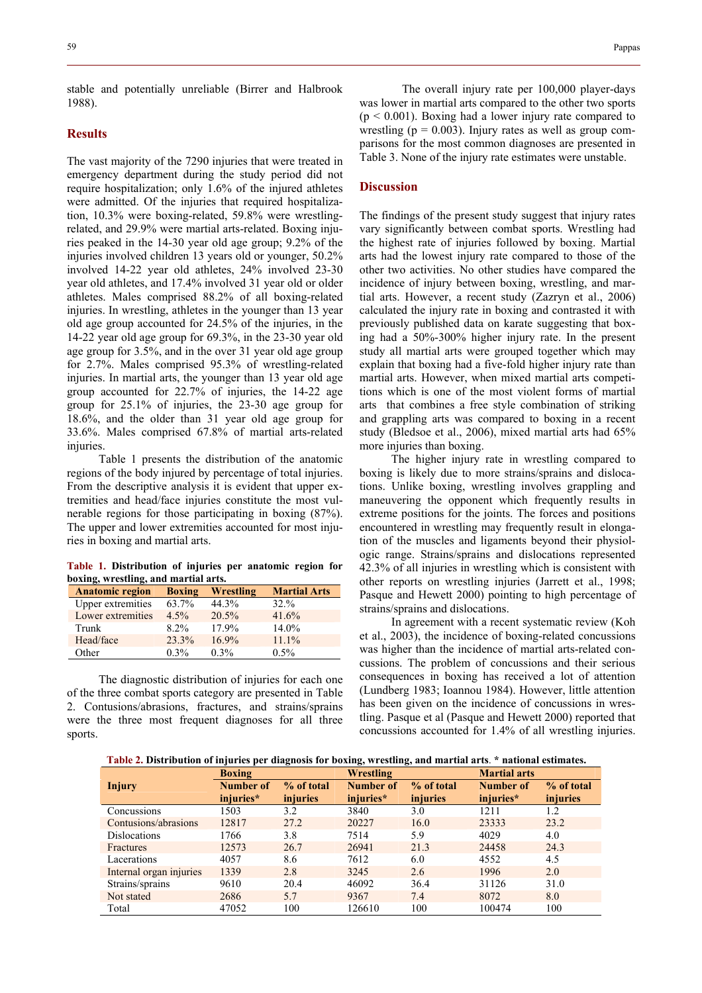stable and potentially unreliable (Birrer and Halbrook 1988).

## **Results**

The vast majority of the 7290 injuries that were treated in emergency department during the study period did not require hospitalization; only 1.6% of the injured athletes were admitted. Of the injuries that required hospitalization, 10.3% were boxing-related, 59.8% were wrestlingrelated, and 29.9% were martial arts-related. Boxing injuries peaked in the 14-30 year old age group; 9.2% of the injuries involved children 13 years old or younger, 50.2% involved 14-22 year old athletes, 24% involved 23-30 year old athletes, and 17.4% involved 31 year old or older athletes. Males comprised 88.2% of all boxing-related injuries. In wrestling, athletes in the younger than 13 year old age group accounted for 24.5% of the injuries, in the 14-22 year old age group for 69.3%, in the 23-30 year old age group for 3.5%, and in the over 31 year old age group for 2.7%. Males comprised 95.3% of wrestling-related injuries. In martial arts, the younger than 13 year old age group accounted for 22.7% of injuries, the 14-22 age group for 25.1% of injuries, the 23-30 age group for 18.6%, and the older than 31 year old age group for 33.6%. Males comprised 67.8% of martial arts-related injuries.

Table 1 presents the distribution of the anatomic regions of the body injured by percentage of total injuries. From the descriptive analysis it is evident that upper extremities and head/face injuries constitute the most vulnerable regions for those participating in boxing (87%). The upper and lower extremities accounted for most injuries in boxing and martial arts.

**Table 1. Distribution of injuries per anatomic region for boxing, wrestling, and martial arts.** 

| <b>Anatomic region</b>   | <b>Boxing</b> | Wrestling | <b>Martial Arts</b> |
|--------------------------|---------------|-----------|---------------------|
| <b>Upper extremities</b> | 63.7%         | 44.3%     | $32\%$              |
| Lower extremities        | $4.5\%$       | 20.5%     | 41.6%               |
| Trunk                    | $8.2\%$       | 17.9%     | $14.0\%$            |
| Head/face                | 23.3%         | $16.9\%$  | $11.1\%$            |
| Other                    | $0.3\%$       | $0.3\%$   | $0.5\%$             |

The diagnostic distribution of injuries for each one of the three combat sports category are presented in Table 2. Contusions/abrasions, fractures, and strains/sprains were the three most frequent diagnoses for all three sports.

The overall injury rate per 100,000 player-days was lower in martial arts compared to the other two sports  $(p < 0.001)$ . Boxing had a lower injury rate compared to wrestling ( $p = 0.003$ ). Injury rates as well as group comparisons for the most common diagnoses are presented in Table 3. None of the injury rate estimates were unstable.

#### **Discussion**

The findings of the present study suggest that injury rates vary significantly between combat sports. Wrestling had the highest rate of injuries followed by boxing. Martial arts had the lowest injury rate compared to those of the other two activities. No other studies have compared the incidence of injury between boxing, wrestling, and martial arts. However, a recent study (Zazryn et al., 2006) calculated the injury rate in boxing and contrasted it with previously published data on karate suggesting that boxing had a 50%-300% higher injury rate. In the present study all martial arts were grouped together which may explain that boxing had a five-fold higher injury rate than martial arts. However, when mixed martial arts competitions which is one of the most violent forms of martial arts that combines a free style combination of striking and grappling arts was compared to boxing in a recent study (Bledsoe et al., 2006), mixed martial arts had 65% more injuries than boxing.

The higher injury rate in wrestling compared to boxing is likely due to more strains/sprains and dislocations. Unlike boxing, wrestling involves grappling and maneuvering the opponent which frequently results in extreme positions for the joints. The forces and positions encountered in wrestling may frequently result in elongation of the muscles and ligaments beyond their physiologic range. Strains/sprains and dislocations represented 42.3% of all injuries in wrestling which is consistent with other reports on wrestling injuries (Jarrett et al., 1998; Pasque and Hewett 2000) pointing to high percentage of strains/sprains and dislocations.

In agreement with a recent systematic review (Koh et al., 2003), the incidence of boxing-related concussions was higher than the incidence of martial arts-related concussions. The problem of concussions and their serious consequences in boxing has received a lot of attention (Lundberg 1983; Ioannou 1984). However, little attention has been given on the incidence of concussions in wrestling. Pasque et al (Pasque and Hewett 2000) reported that concussions accounted for 1.4% of all wrestling injuries.

 **Table 2. Distribution of injuries per diagnosis for boxing, wrestling, and martial arts**. **\* national estimates.** 

|                         | . .<br><b>Boxing</b>          |                               | $\mathbf{v}$<br>-<br>Wrestling |                        | <b>Martial arts</b>    |                        |
|-------------------------|-------------------------------|-------------------------------|--------------------------------|------------------------|------------------------|------------------------|
| <b>Injury</b>           | <b>Number of</b><br>injuries* | % of total<br><i>injuries</i> | Number of<br>injuries*         | % of total<br>injuries | Number of<br>injuries* | % of total<br>injuries |
| Concussions             | 1503                          | 3.2                           | 3840                           | 3.0                    | 1211                   | 1.2                    |
| Contusions/abrasions    | 12817                         | 27.2                          | 20227                          | 16.0                   | 23333                  | 23.2                   |
| <b>Dislocations</b>     | 1766                          | 3.8                           | 7514                           | 5.9                    | 4029                   | 4.0                    |
| Fractures               | 12573                         | 26.7                          | 26941                          | 21.3                   | 24458                  | 24.3                   |
| Lacerations             | 4057                          | 8.6                           | 7612                           | 6.0                    | 4552                   | 4.5                    |
| Internal organ injuries | 1339                          | 2.8                           | 3245                           | 2.6                    | 1996                   | 2.0                    |
| Strains/sprains         | 9610                          | 20.4                          | 46092                          | 36.4                   | 31126                  | 31.0                   |
| Not stated              | 2686                          | 5.7                           | 9367                           | 7.4                    | 8072                   | 8.0                    |
| Total                   | 47052                         | 100                           | 126610                         | 100                    | 100474                 | 100                    |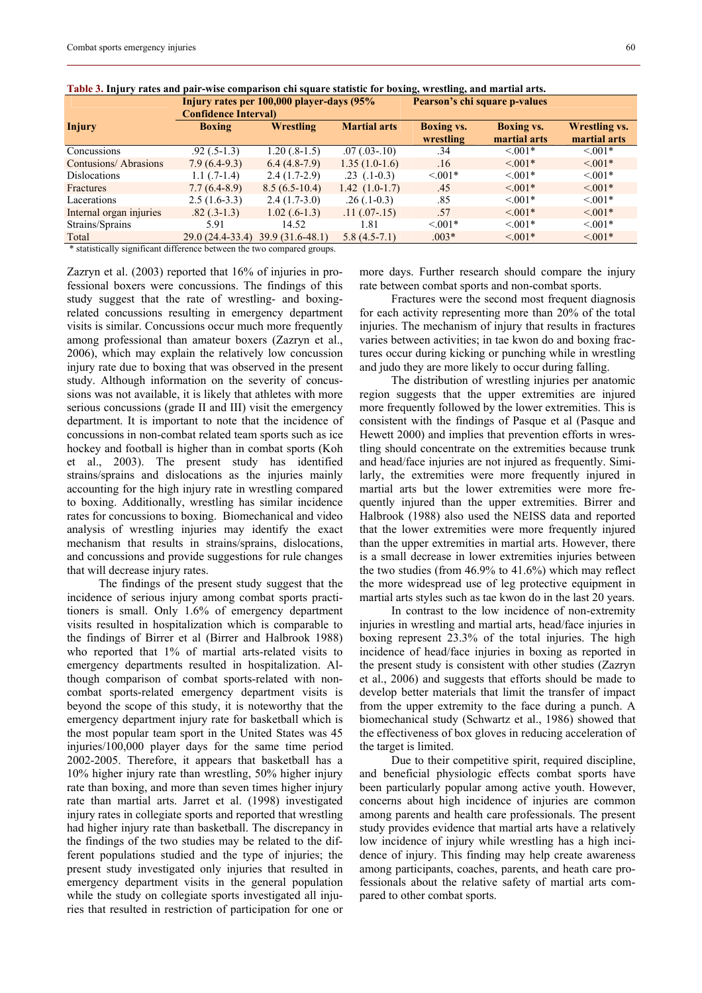|                                                      | Injury rates per 100,000 player-days (95% |                   |                     | Pearson's chi square p-values |                   |                      |  |
|------------------------------------------------------|-------------------------------------------|-------------------|---------------------|-------------------------------|-------------------|----------------------|--|
|                                                      | <b>Confidence Interval</b>                |                   |                     |                               |                   |                      |  |
| <b>Injury</b>                                        | <b>Boxing</b>                             | Wrestling         | <b>Martial arts</b> | <b>Boxing vs.</b>             | <b>Boxing vs.</b> | <b>Wrestling vs.</b> |  |
|                                                      |                                           |                   |                     | wrestling                     | martial arts      | martial arts         |  |
| Concussions                                          | $.92(.5-1.3)$                             | $1.20(.8-1.5)$    | $.07$ $(.03-10)$    | .34                           | $\leq 0.01*$      | $\leq 0.01*$         |  |
| Contusions/Abrasions                                 | $7.9(6.4-9.3)$                            | $6.4(4.8-7.9)$    | $1.35(1.0-1.6)$     | .16                           | $\leq 0.01*$      | $\leq 0.01*$         |  |
| <b>Dislocations</b>                                  | $1.1$ (.7-1.4)                            | $2.4(1.7-2.9)$    | $.23$ $(.1-0.3)$    | $\leq 0.01*$                  | $\leq 0.01*$      | $< 0.01*$            |  |
| Fractures                                            | $7.7(6.4-8.9)$                            | $8.5(6.5-10.4)$   | $1.42(1.0-1.7)$     | .45                           | $\leq 0.01*$      | $\leq 0.01*$         |  |
| Lacerations                                          | $2.5(1.6-3.3)$                            | $2.4(1.7-3.0)$    | $.26(.1-0.3)$       | .85                           | $< 0.01*$         | $\leq 0.01*$         |  |
| Internal organ injuries                              | $.82(.3-1.3)$                             | $1.02$ (.6-1.3)   | $.11(.07-.15)$      | .57                           | $\leq 0.01*$      | $\leq 0.01*$         |  |
| Strains/Sprains                                      | 5.91                                      | 14.52             | 1.81                | $< 0.01*$                     | $< 0.01*$         | $< 0.01*$            |  |
| Total                                                | $29.0(24.4-33.4)$                         | $39.9(31.6-48.1)$ | $5.8(4.5-7.1)$      | $.003*$                       | $\leq 0.01*$      | $\leq 0.01*$         |  |
| the contract of the contract of the con-<br>$\cdots$ |                                           |                   |                     |                               |                   |                      |  |

**Table 3. Injury rates and pair-wise comparison chi square statistic for boxing, wrestling, and martial arts.** 

\* statistically significant difference between the two compared groups.

Zazryn et al. (2003) reported that 16% of injuries in professional boxers were concussions. The findings of this study suggest that the rate of wrestling- and boxingrelated concussions resulting in emergency department visits is similar. Concussions occur much more frequently among professional than amateur boxers (Zazryn et al., 2006), which may explain the relatively low concussion injury rate due to boxing that was observed in the present study. Although information on the severity of concussions was not available, it is likely that athletes with more serious concussions (grade II and III) visit the emergency department. It is important to note that the incidence of concussions in non-combat related team sports such as ice hockey and football is higher than in combat sports (Koh et al., 2003). The present study has identified strains/sprains and dislocations as the injuries mainly accounting for the high injury rate in wrestling compared to boxing. Additionally, wrestling has similar incidence rates for concussions to boxing. Biomechanical and video analysis of wrestling injuries may identify the exact mechanism that results in strains/sprains, dislocations, and concussions and provide suggestions for rule changes that will decrease injury rates.

The findings of the present study suggest that the incidence of serious injury among combat sports practitioners is small. Only 1.6% of emergency department visits resulted in hospitalization which is comparable to the findings of Birrer et al (Birrer and Halbrook 1988) who reported that 1% of martial arts-related visits to emergency departments resulted in hospitalization. Although comparison of combat sports-related with noncombat sports-related emergency department visits is beyond the scope of this study, it is noteworthy that the emergency department injury rate for basketball which is the most popular team sport in the United States was 45 injuries/100,000 player days for the same time period 2002-2005. Therefore, it appears that basketball has a 10% higher injury rate than wrestling, 50% higher injury rate than boxing, and more than seven times higher injury rate than martial arts. Jarret et al. (1998) investigated injury rates in collegiate sports and reported that wrestling had higher injury rate than basketball. The discrepancy in the findings of the two studies may be related to the different populations studied and the type of injuries; the present study investigated only injuries that resulted in emergency department visits in the general population while the study on collegiate sports investigated all injuries that resulted in restriction of participation for one or

more days. Further research should compare the injury rate between combat sports and non-combat sports.

Fractures were the second most frequent diagnosis for each activity representing more than 20% of the total injuries. The mechanism of injury that results in fractures varies between activities; in tae kwon do and boxing fractures occur during kicking or punching while in wrestling and judo they are more likely to occur during falling.

The distribution of wrestling injuries per anatomic region suggests that the upper extremities are injured more frequently followed by the lower extremities. This is consistent with the findings of Pasque et al (Pasque and Hewett 2000) and implies that prevention efforts in wrestling should concentrate on the extremities because trunk and head/face injuries are not injured as frequently. Similarly, the extremities were more frequently injured in martial arts but the lower extremities were more frequently injured than the upper extremities. Birrer and Halbrook (1988) also used the NEISS data and reported that the lower extremities were more frequently injured than the upper extremities in martial arts. However, there is a small decrease in lower extremities injuries between the two studies (from 46.9% to 41.6%) which may reflect the more widespread use of leg protective equipment in martial arts styles such as tae kwon do in the last 20 years.

In contrast to the low incidence of non-extremity injuries in wrestling and martial arts, head/face injuries in boxing represent 23.3% of the total injuries. The high incidence of head/face injuries in boxing as reported in the present study is consistent with other studies (Zazryn et al., 2006) and suggests that efforts should be made to develop better materials that limit the transfer of impact from the upper extremity to the face during a punch. A biomechanical study (Schwartz et al., 1986) showed that the effectiveness of box gloves in reducing acceleration of the target is limited.

Due to their competitive spirit, required discipline, and beneficial physiologic effects combat sports have been particularly popular among active youth. However, concerns about high incidence of injuries are common among parents and health care professionals. The present study provides evidence that martial arts have a relatively low incidence of injury while wrestling has a high incidence of injury. This finding may help create awareness among participants, coaches, parents, and heath care professionals about the relative safety of martial arts compared to other combat sports.